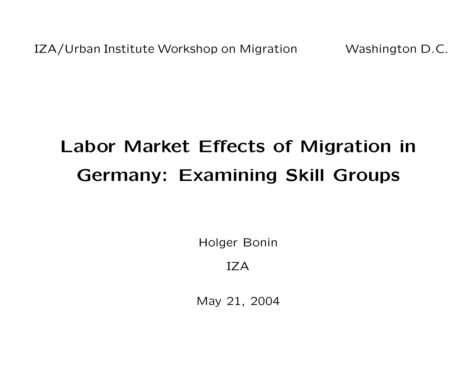IZA/Urban Institute Workshop on Migration Washington D.C.

# Labor Market Effects of Migration in Germany: Examining Skill Groups

Holger Bonin

IZA

May 21, 2004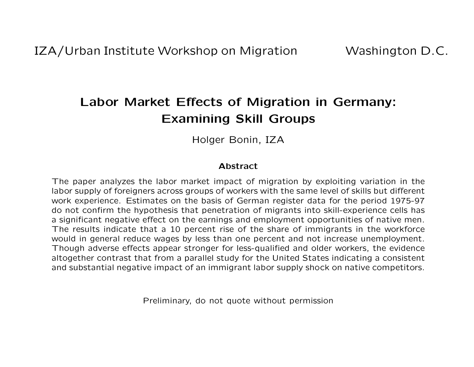# Labor Market Effects of Migration in Germany: Examining Skill Groups

Holger Bonin, IZA

#### Abstract

The paper analyzes the labor market impact of migration by exploiting variation in the labor supply of foreigners across groups of workers with the same level of skills but different work experience. Estimates on the basis of German register data for the period 1975-97 do not confirm the hypothesis that penetration of migrants into skill-experience cells has a significant negative effect on the earnings and employment opportunities of native men. The results indicate that a 10 percent rise of the share of immigrants in the workforce would in general reduce wages by less than one percent and not increase unemployment. Though adverse effects appear stronger for less-qualified and older workers, the evidence altogether contrast that from a parallel study for the United States indicating a consistent and substantial negative impact of an immigrant labor supply shock on native competitors.

Preliminary, do not quote without permission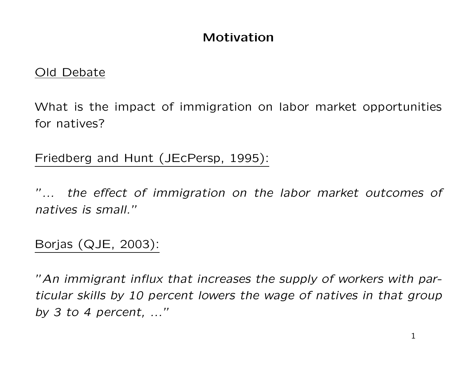#### Motivation

#### Old Debate

What is the impact of immigration on labor market opportunities for natives?

Friedberg and Hunt (JEcPersp, 1995):

"... the effect of immigration on the labor market outcomes of natives is small."

Borjas (QJE, 2003):

"An immigrant influx that increases the supply of workers with particular skills by 10 percent lowers the wage of natives in that group by 3 to 4 percent, ..."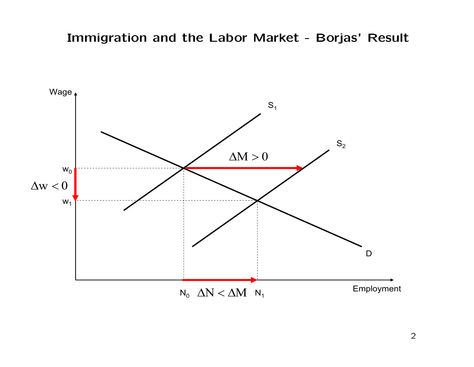#### Immigration and the Labor Market - Borjas' Result

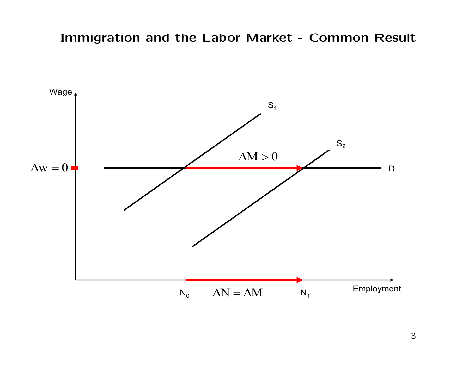#### Immigration and the Labor Market - Common Result

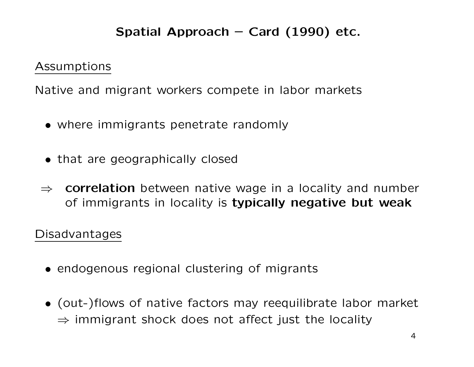# Spatial Approach – Card  $(1990)$  etc.

Assumptions

Native and migrant workers compete in labor markets

- where immigrants penetrate randomly
- that are geographically closed
- $\Rightarrow$  correlation between native wage in a locality and number of immigrants in locality is typically negative but weak

#### Disadvantages

- endogenous regional clustering of migrants
- (out-)flows of native factors may reequilibrate labor market  $\Rightarrow$  immigrant shock does not affect just the locality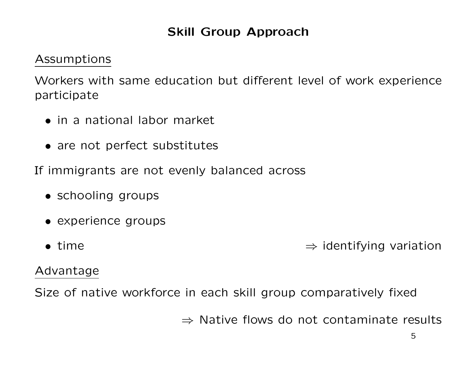# Skill Group Approach

#### Assumptions

Workers with same education but different level of work experience participate

- in a national labor market
- are not perfect substitutes

If immigrants are not evenly balanced across

- schooling groups
- experience groups
- time ⇒ identifying variation

#### Advantage

Size of native workforce in each skill group comparatively fixed

⇒ Native flows do not contaminate results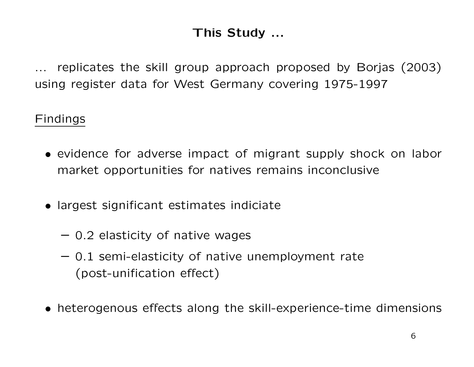# This Study ...

replicates the skill group approach proposed by Borjas (2003) using register data for West Germany covering 1975-1997

#### Findings

- evidence for adverse impact of migrant supply shock on labor market opportunities for natives remains inconclusive
- largest significant estimates indiciate
	- 0.2 elasticity of native wages
	- 0.1 semi-elasticity of native unemployment rate (post-unification effect)
- heterogenous effects along the skill-experience-time dimensions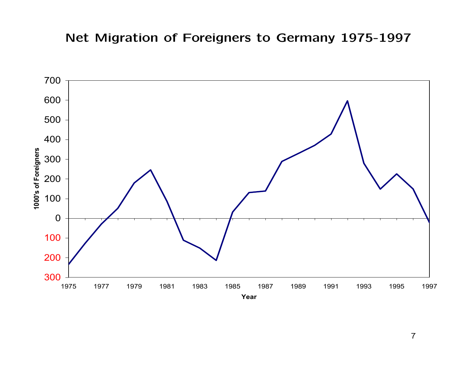# Net Migration of Foreigners to Germany 1975-1997

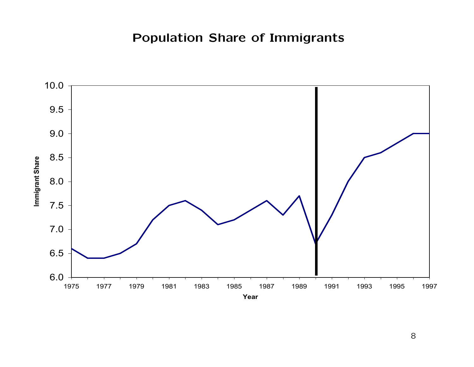# Population Share of Immigrants

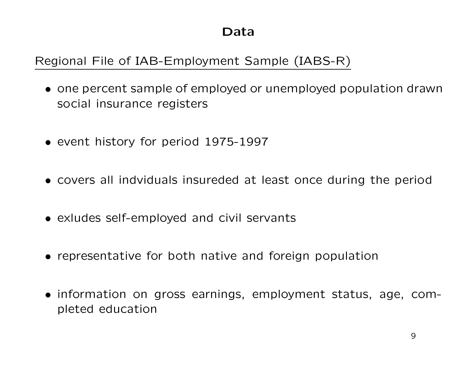#### Data

# Regional File of IAB-Employment Sample (IABS-R)

- one percent sample of employed or unemployed population drawn social insurance registers
- event history for period 1975-1997
- covers all indviduals insureded at least once during the period
- exludes self-employed and civil servants
- representative for both native and foreign population
- information on gross earnings, employment status, age, completed education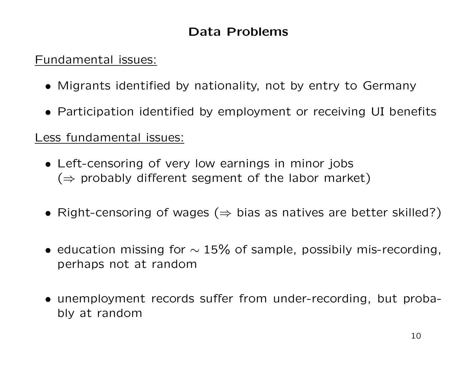# Data Problems

#### Fundamental issues:

- Migrants identified by nationality, not by entry to Germany
- Participation identified by employment or receiving UI benefits

#### Less fundamental issues:

- Left-censoring of very low earnings in minor jobs  $(\Rightarrow$  probably different segment of the labor market)
- Right-censoring of wages ( $\Rightarrow$  bias as natives are better skilled?)
- education missing for  $\sim$  15% of sample, possibily mis-recording, perhaps not at random
- unemployment records suffer from under-recording, but probably at random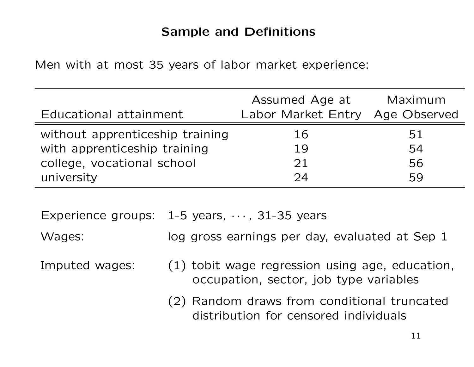# Sample and Definitions

Men with at most 35 years of labor market experience:

|          | Maximum<br>Age Observed                    |
|----------|--------------------------------------------|
| 16       | 51<br>54                                   |
| 21<br>74 | 56<br>59                                   |
|          | Assumed Age at<br>Labor Market Entry<br>19 |

Experience groups:  $1-5$  years,  $\cdots$ , 31-35 years

Wages: log gross earnings per day, evaluated at Sep 1

- Imputed wages: (1) tobit wage regression using age, education, occupation, sector, job type variables
	- (2) Random draws from conditional truncated distribution for censored individuals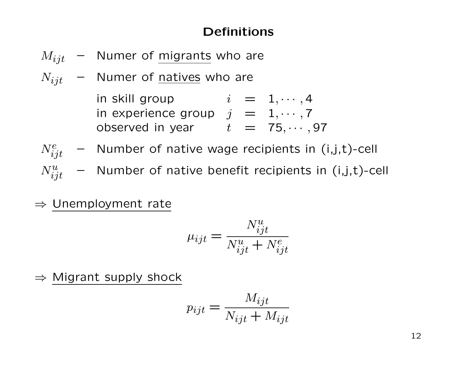#### Definitions

- $M_{ijt}$  Numer of migrants who are
- $N_{ijt}$  Numer of natives who are

in skill group  $i = 1, \cdots, 4$ in experience group  $j = 1, \cdots, 7$ observed in year  $t = 75, \cdots, 97$ 

- $N_{ijt}^e$  Number of native wage recipients in (i,j,t)-cell
- $N_{ijt}^{u}$  Number of native benefit recipients in (i,j,t)-cell
- ⇒ Unemployment rate

$$
\mu_{ijt} = \frac{N_{ijt}^u}{N_{ijt}^u + N_{ijt}^e}
$$

 $\Rightarrow$  Migrant supply shock

$$
p_{ijt} = \frac{M_{ijt}}{N_{ijt} + M_{ijt}}
$$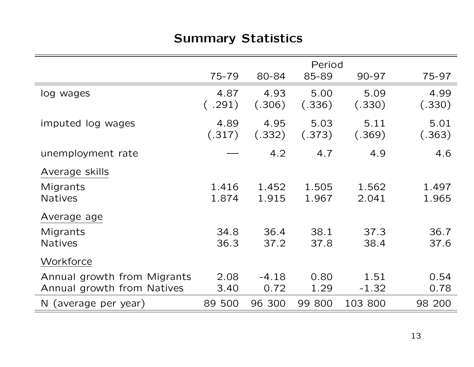# Summary Statistics

|                                                           |                |                 | Period         |                 |                |
|-----------------------------------------------------------|----------------|-----------------|----------------|-----------------|----------------|
|                                                           | 75-79          | 80-84           | 85-89          | $90 - 97$       | 75-97          |
| log wages                                                 | 4.87<br>(.291) | 4.93<br>(.306)  | 5.00<br>(.336) | 5.09<br>(.330)  | 4.99<br>(.330) |
| imputed log wages                                         | 4.89<br>(.317) | 4.95<br>(.332)  | 5.03<br>(.373) | 5.11<br>(.369)  | 5.01<br>(.363) |
| unemployment rate                                         |                | 4.2             | 4.7            | 4.9             | 4.6            |
| Average skills                                            |                |                 |                |                 |                |
| Migrants<br><b>Natives</b>                                | 1.416<br>1.874 | 1.452<br>1.915  | 1.505<br>1.967 | 1.562<br>2.041  | 1.497<br>1.965 |
| Average age                                               |                |                 |                |                 |                |
| Migrants<br><b>Natives</b>                                | 34.8<br>36.3   | 36.4<br>37.2    | 38.1<br>37.8   | 37.3<br>38.4    | 36.7<br>37.6   |
| Workforce                                                 |                |                 |                |                 |                |
| Annual growth from Migrants<br>Annual growth from Natives | 2.08<br>3.40   | $-4.18$<br>0.72 | 0.80<br>1.29   | 1.51<br>$-1.32$ | 0.54<br>0.78   |
| N (average per year)                                      | 89 500         | 96 300          | 99 800         | 103 800         | 98 200         |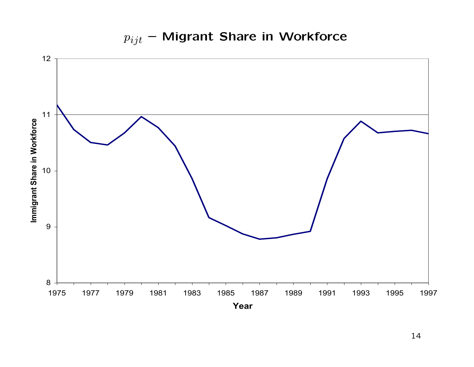

 $p_{ijt}$  – Migrant Share in Workforce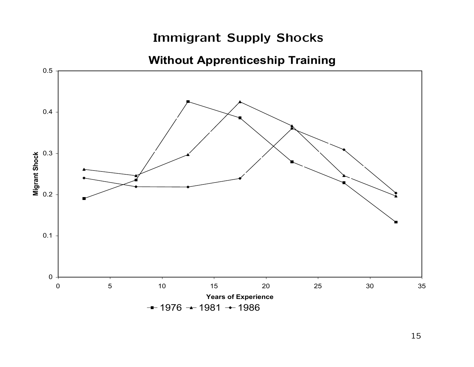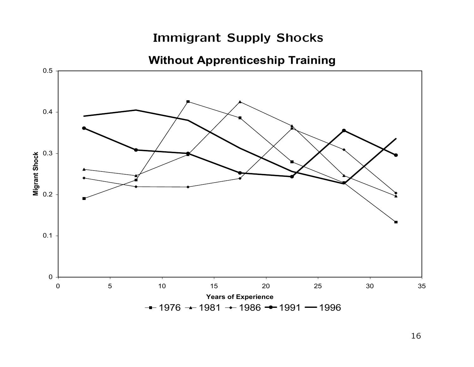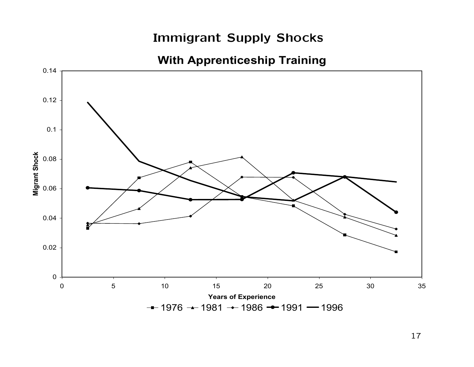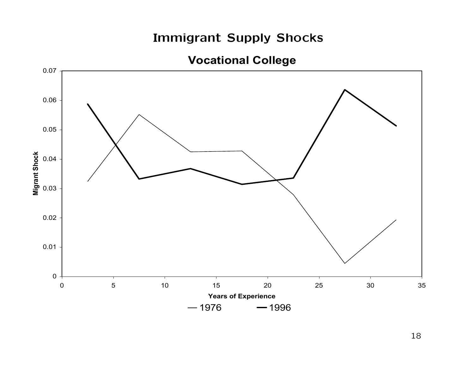**Vocational College**

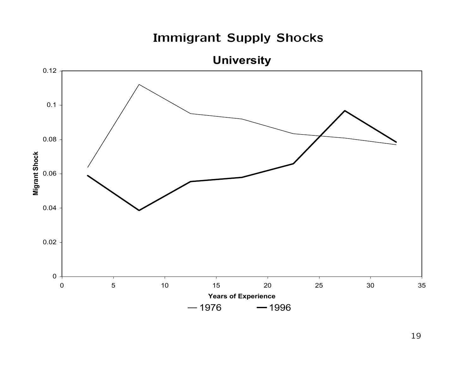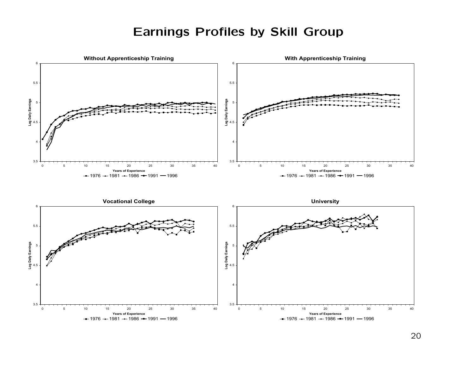#### Earnings Profiles by Skill Group

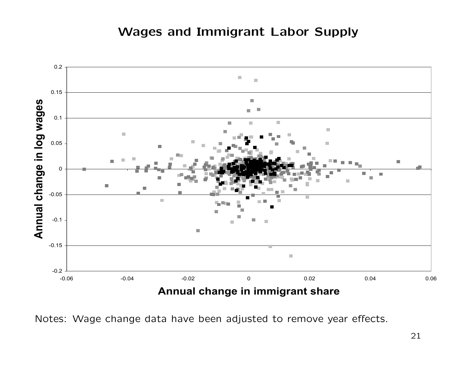#### Wages and Immigrant Labor Supply



Notes: Wage change data have been adjusted to remove year effects.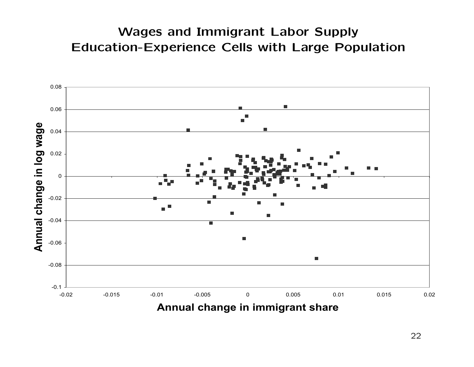# Wages and Immigrant Labor Supply Education-Experience Cells with Large Population

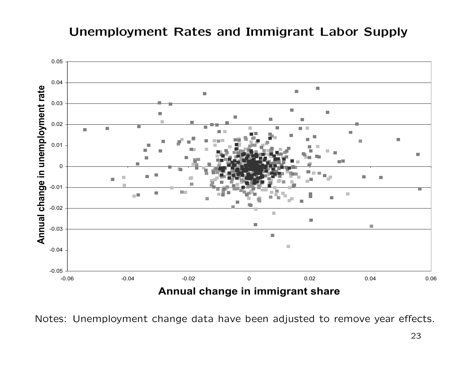#### Unemployment Rates and Immigrant Labor Supply



Notes: Unemployment change data have been adjusted to remove year effects.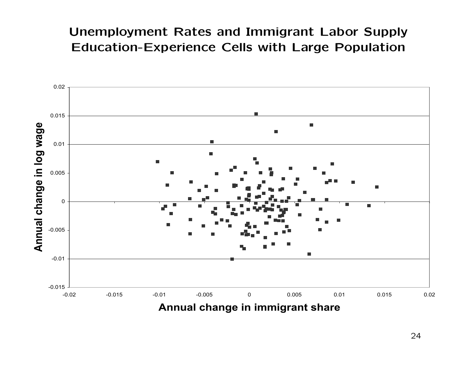# Unemployment Rates and Immigrant Labor Supply Education-Experience Cells with Large Population

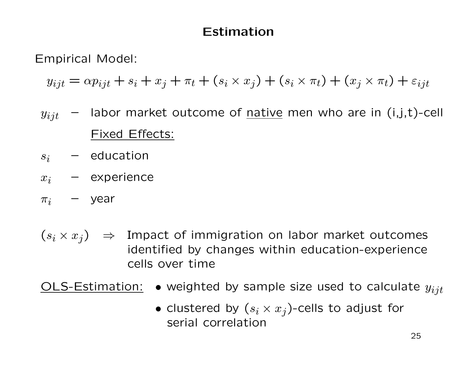#### Estimation

Empirical Model:

 $y_{ijt} = \alpha p_{ijt} + s_i + x_j + \pi_t + (s_i \times x_j) + (s_i \times \pi_t) + (x_j \times \pi_t) + \varepsilon_{ijt}$ 

- $y_{ijt}$  labor market outcome of native men who are in (i,j,t)-cell Fixed Effects:
- $s_i$  education
- $x_i$  experience
- $\pi_i$  year
- $(s_i \times x_j) \Rightarrow$  Impact of immigration on labor market outcomes identified by changes within education-experience cells over time

OLS-Estimation: • weighted by sample size used to calculate  $y_{ijt}$ 

• clustered by  $(s_i \times x_j)$ -cells to adjust for serial correlation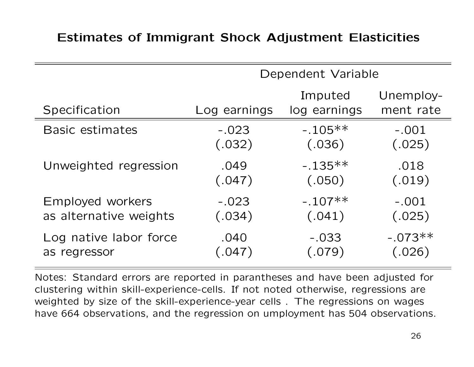#### Estimates of Immigrant Shock Adjustment Elasticities

|                        | Dependent Variable   |                         |                        |  |
|------------------------|----------------------|-------------------------|------------------------|--|
| Specification          | Log earnings         | Imputed<br>log earnings | Unemploy-<br>ment rate |  |
| <b>Basic estimates</b> | $-.023$              | $-.105**$               | $-.001$                |  |
|                        | (.032)               | (.036)                  | (.025)                 |  |
| Unweighted regression  | .049                 | $-.135**$               | .018                   |  |
|                        | (.047)               | (.050)                  | (.019)                 |  |
| Employed workers       | $-.023$              | $-.107**$               | $-.001$                |  |
| as alternative weights | (.034)               | (.041)                  | (.025)                 |  |
| Log native labor force | .040                 | $-.033$                 | $-.073**$              |  |
| as regressor           | $\left( .047\right)$ | (.079)                  | (.026)                 |  |

Notes: Standard errors are reported in parantheses and have been adjusted for clustering within skill-experience-cells. If not noted otherwise, regressions are weighted by size of the skill-experience-year cells . The regressions on wages have 664 observations, and the regression on umployment has 504 observations.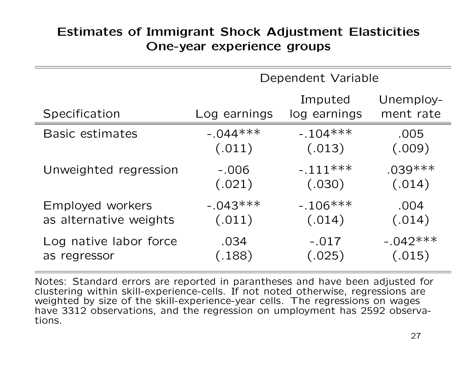# Estimates of Immigrant Shock Adjustment Elasticities One-year experience groups

|                        | Dependent Variable |                         |                        |  |
|------------------------|--------------------|-------------------------|------------------------|--|
| Specification          | Log earnings       | Imputed<br>log earnings | Unemploy-<br>ment rate |  |
| <b>Basic estimates</b> | $-0.044***$        | $-.104***$              | .005                   |  |
|                        | (.011)             | (.013)                  | (.009)                 |  |
| Unweighted regression  | $-.006$            | $-.111***$              | $.039***$              |  |
|                        | (.021)             | (.030)                  | (.014)                 |  |
| Employed workers       | $-.043***$         | $-.106***$              | .004                   |  |
| as alternative weights | (.011)             | (.014)                  | (.014)                 |  |
| Log native labor force | .034               | $-.017$                 | $-0.042***$            |  |
| as regressor           | (.188)             | (.025)                  | (.015)                 |  |

Notes: Standard errors are reported in parantheses and have been adjusted for clustering within skill-experience-cells. If not noted otherwise, regressions are weighted by size of the skill-experience-year cells. The regressions on wages have 3312 observations, and the regression on umployment has 2592 observations.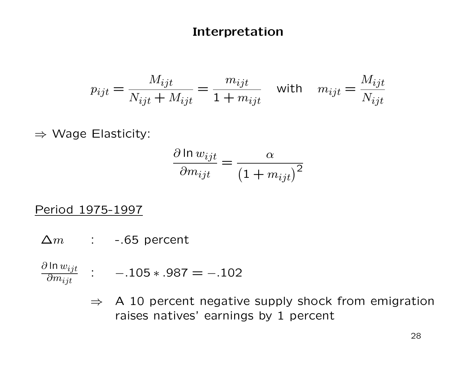#### Interpretation

$$
p_{ijt} = \frac{M_{ijt}}{N_{ijt} + M_{ijt}} = \frac{m_{ijt}}{1 + m_{ijt}} \quad \text{with} \quad m_{ijt} = \frac{M_{ijt}}{N_{ijt}}
$$

⇒ Wage Elasticity:

$$
\frac{\partial \ln w_{ijt}}{\partial m_{ijt}} = \frac{\alpha}{\left(1 + m_{ijt}\right)^2}
$$

#### Period 1975-1997

- $\Delta m$  : -.65 percent
- $\partial$  ln  $w_{ijt}$  $\overline{\partial m_{ijt}}$ :  $-.105*.987 = -.102$ 
	- $\Rightarrow$  A 10 percent negative supply shock from emigration raises natives' earnings by 1 percent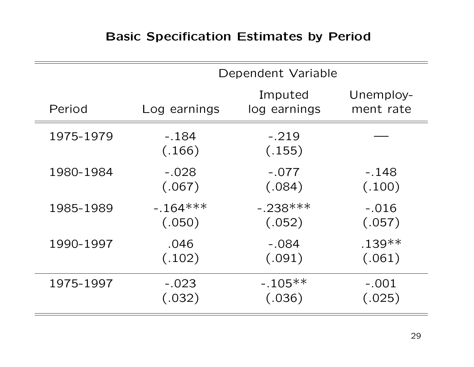# Basic Specification Estimates by Period

|           | Dependent Variable |                         |                        |  |
|-----------|--------------------|-------------------------|------------------------|--|
| Period    | Log earnings       | Imputed<br>log earnings | Unemploy-<br>ment rate |  |
| 1975-1979 | $-.184$<br>(.166)  | $-.219$<br>(.155)       |                        |  |
| 1980-1984 | $-.028$            | $-.077$                 | $-148$                 |  |
|           | (.067)             | (.084)                  | (.100)                 |  |
| 1985-1989 | $-164***$          | $-.238***$              | $-.016$                |  |
|           | (.050)             | (.052)                  | (.057)                 |  |
| 1990-1997 | .046               | $-.084$                 | $.139**$               |  |
|           | (.102)             | (.091)                  | (.061)                 |  |
| 1975-1997 | $-.023$            | $-.105**$               | $-.001$                |  |
|           | (.032)             | (.036)                  | (.025)                 |  |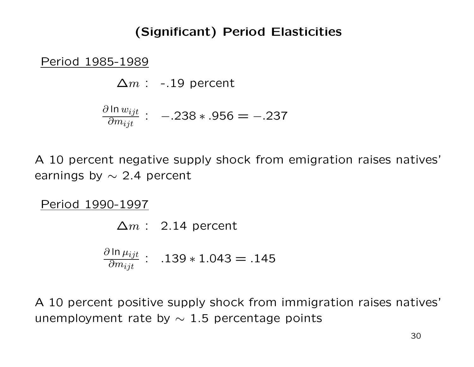# (Significant) Period Elasticities

Period 1985-1989

 $\Delta m$  : -.19 percent

$$
\frac{\partial \ln w_{ijt}}{\partial m_{ijt}}: -238*.956 = -.237
$$

A 10 percent negative supply shock from emigration raises natives' earnings by  $\sim$  2.4 percent

Period 1990-1997

 $\Delta m$  : 2.14 percent ∂ ln  $\mu_{ijt}$  $\overline{\partial m_{ijt}}$ : .139 ∗ 1.043 = .145

A 10 percent positive supply shock from immigration raises natives' unemployment rate by  $\sim$  1.5 percentage points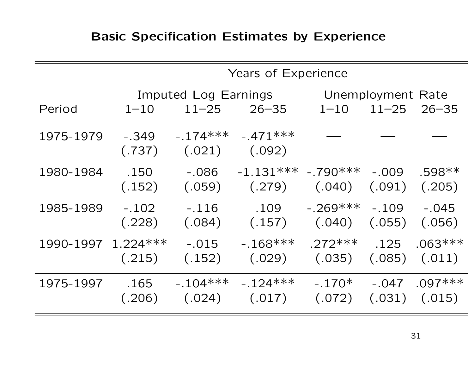# Basic Specification Estimates by Experience

|                    |                   | Years of Experience               |                                  |                                |                                |                                |
|--------------------|-------------------|-----------------------------------|----------------------------------|--------------------------------|--------------------------------|--------------------------------|
| Period             | $1 - 10$          | Imputed Log Earnings<br>$11 - 25$ | $26 - 35$                        | $1 - 10$                       | Unemployment Rate<br>$11 - 25$ | $26 - 35$                      |
| 1975-1979          | $-.349$<br>(.737) | $-.174***$<br>(.021)              | $-.471***$<br>(.092)             |                                |                                |                                |
| 1980-1984          | .150<br>(.152)    | $-.086$<br>(.059)                 | $-1.131***$ $-.790***$<br>(.279) | (.040)                         | $-.009$<br>(.091)              | $.598**$<br>(.205)             |
| 1985-1989          | $-.102$<br>(.228) | $-.116$<br>(.084)                 | .109<br>(.157)                   | $-.269***$<br>(.040)           | $-.109$<br>(.055)              | $-.045$<br>(.056)              |
| 1990-1997 1.224*** | (.215)            | $-.015$<br>(.152)                 | $-168***$                        | $.272***$<br>$(.029)$ $(.035)$ | .125<br>(.085)                 | $.063***$<br>(.011)            |
| 1975-1997          | .165<br>(.206)    | $-.104***$<br>(.024)              | $-124***$<br>(.017)              | $-.170*$<br>(.072)             | $-.047$                        | $.097***$<br>$(.031)$ $(.015)$ |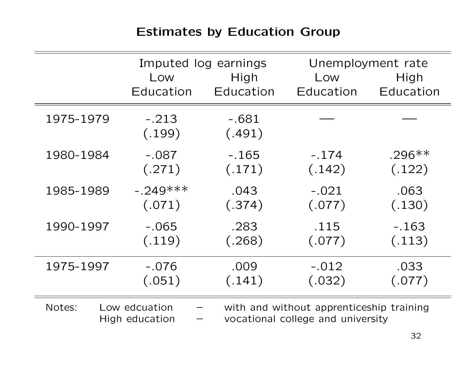# Estimates by Education Group

|           |                                 | Imputed log earnings |                                                                               | Unemployment rate |
|-----------|---------------------------------|----------------------|-------------------------------------------------------------------------------|-------------------|
|           | Low                             | High                 | Low                                                                           | High              |
|           | Education                       | Education            | Education                                                                     | Education         |
| 1975-1979 | $-.213$<br>(.199)               | $-.681$<br>(.491)    |                                                                               |                   |
| 1980-1984 | $-.087$                         | $-.165$              | $-.174$                                                                       | $.296**$          |
|           | (.271)                          | (.171)               | (.142)                                                                        | (.122)            |
| 1985-1989 | $-.249***$                      | .043                 | $-.021$                                                                       | .063              |
|           | (.071)                          | (.374)               | (.077)                                                                        | (.130)            |
| 1990-1997 | $-.065$                         | .283                 | .115                                                                          | $-.163$           |
|           | (.119)                          | (.268)               | (.077)                                                                        | (.113)            |
| 1975-1997 | $-.076$                         | .009                 | $-.012$                                                                       | .033              |
|           | (.051)                          | (.141)               | (.032)                                                                        | (.077)            |
| Notes:    | Low edcuation<br>High education |                      | with and without apprenticeship training<br>vocational college and university |                   |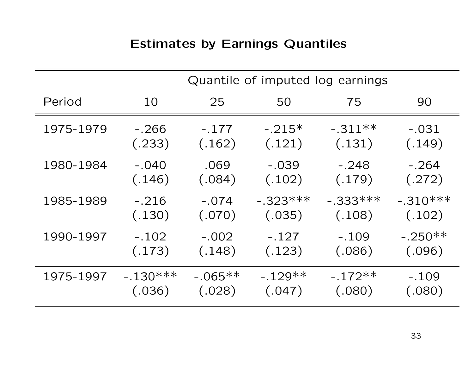# Estimates by Earnings Quantiles

|           |            | Quantile of imputed log earnings |            |            |            |
|-----------|------------|----------------------------------|------------|------------|------------|
| Period    | 10         | 25                               | 50         | 75         | 90         |
| 1975-1979 | -.266      | $-.177$                          | $-.215*$   | $-.311**$  | $-.031$    |
|           | (.233)     | (.162)                           | (.121)     | (.131)     | (.149)     |
| 1980-1984 | $-.040$    | .069                             | $-.039$    | $-.248$    | $-.264$    |
|           | (.146)     | (.084)                           | (.102)     | (.179)     | (.272)     |
| 1985-1989 | $-.216$    | $-.074$                          | $-.323***$ | $-.333***$ | $-.310***$ |
|           | (.130)     | (.070)                           | (.035)     | (.108)     | (.102)     |
| 1990-1997 | $-.102$    | $-.002$                          | $-.127$    | $-.109$    | $-.250**$  |
|           | (.173)     | (.148)                           | (.123)     | (.086)     | (.096)     |
| 1975-1997 | $-.130***$ | $-.065**$                        | $-.129**$  | $-.172**$  | $-.109$    |
|           | (.036)     | (.028)                           | (.047)     | (.080)     | (.080)     |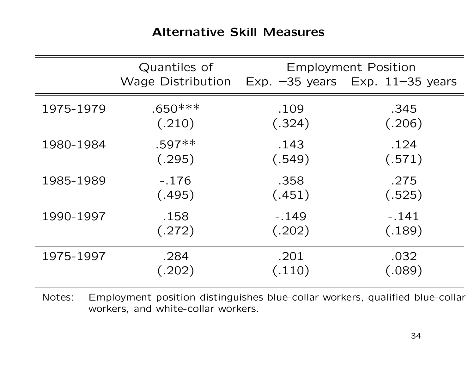#### Alternative Skill Measures

|           | Quantiles of             | <b>Employment Position</b> |                                   |  |
|-----------|--------------------------|----------------------------|-----------------------------------|--|
|           | <b>Wage Distribution</b> |                            | Exp. $-35$ years Exp. 11-35 years |  |
| 1975-1979 | $.650***$                | .109                       | .345                              |  |
|           | (.210)                   | (.324)                     | (.206)                            |  |
| 1980-1984 | $.597**$                 | .143                       | .124                              |  |
|           | (.295)                   | (.549)                     | (.571)                            |  |
| 1985-1989 | $-.176$                  | .358                       | .275                              |  |
|           | (.495)                   | (.451)                     | (.525)                            |  |
| 1990-1997 | .158                     | $-.149$                    | $-.141$                           |  |
|           | (.272)                   | (.202)                     | (.189)                            |  |
| 1975-1997 | .284                     | .201                       | .032                              |  |
|           | (.202)                   | (.110)                     | (.089)                            |  |

Notes: Employment position distinguishes blue-collar workers, qualified blue-collar workers, and white-collar workers.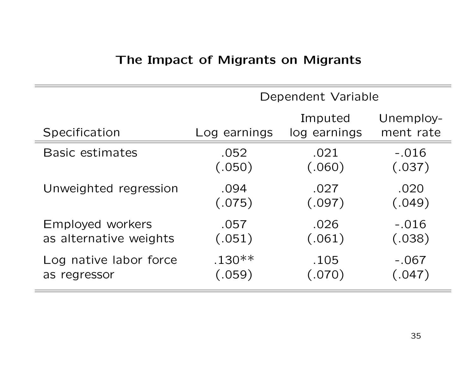# The Impact of Migrants on Migrants

|                        | Dependent Variable |                         |                        |  |
|------------------------|--------------------|-------------------------|------------------------|--|
| Specification          | Log earnings       | Imputed<br>log earnings | Unemploy-<br>ment rate |  |
| <b>Basic estimates</b> | .052               | .021                    | $-.016$                |  |
|                        | (.050)             | (.060)                  | (.037)                 |  |
| Unweighted regression  | .094               | .027                    | .020                   |  |
|                        | (.075)             | (.097)                  | (.049)                 |  |
| Employed workers       | .057               | .026                    | $-.016$                |  |
| as alternative weights | (.051)             | (.061)                  | (.038)                 |  |
| Log native labor force | $.130**$           | .105                    | $-.067$                |  |
| as regressor           | (.059)             | (.070)                  | (.047)                 |  |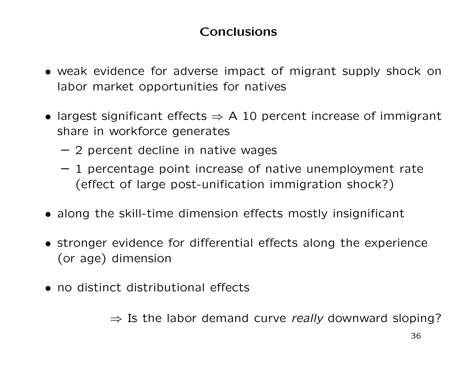# Conclusions

- weak evidence for adverse impact of migrant supply shock on labor market opportunities for natives
- largest significant effects  $\Rightarrow$  A 10 percent increase of immigrant share in workforce generates
	- 2 percent decline in native wages
	- 1 percentage point increase of native unemployment rate (effect of large post-unification immigration shock?)
- along the skill-time dimension effects mostly insignificant
- stronger evidence for differential effects along the experience (or age) dimension
- no distinct distributional effects

 $\Rightarrow$  Is the labor demand curve really downward sloping?